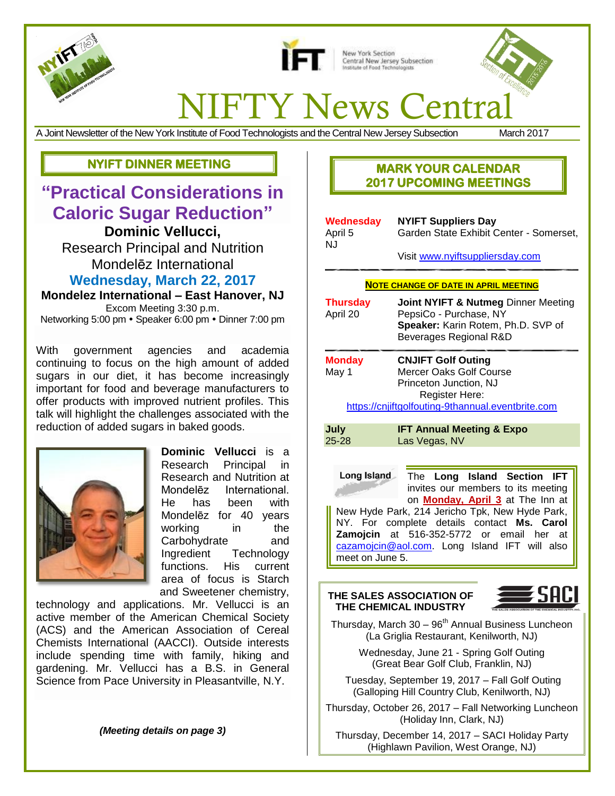



New York Section Central New Jersey Subsection stitute of Food Techno



# **NIFTY News Central**

A Joint Newsletter of the New York Institute of Food Technologists and the Central New Jersey Subsection March 2017

### **NYIFT DINNER MEETING**

### **"Practical Considerations in Caloric Sugar Reduction" Dominic Vellucci,**

Research Principal and Nutrition Mondelēz International

### **Wednesday, March 22, 2017**

**Mondelez International – East Hanover, NJ** Excom Meeting 3:30 p.m. Networking 5:00 pm • Speaker 6:00 pm • Dinner 7:00 pm

With government agencies and academia continuing to focus on the high amount of added sugars in our diet, it has become increasingly important for food and beverage manufacturers to offer products with improved nutrient profiles. This talk will highlight the challenges associated with the reduction of added sugars in baked goods.



**Dominic Vellucci** is a Research Principal in Research and Nutrition at Mondelēz International. He has been with Mondelēz for 40 years working in the Carbohydrate and Ingredient Technology functions. His current area of focus is Starch and Sweetener chemistry,

technology and applications. Mr. Vellucci is an active member of the American Chemical Society (ACS) and the American Association of Cereal Chemists International (AACCI). Outside interests include spending time with family, hiking and gardening. Mr. Vellucci has a B.S. in General Science from Pace University in Pleasantville, N.Y.

#### *(Meeting details on page 3)*

### **MARK YOUR CALENDAR 2017 UPCOMING MEETINGS**

| <b>Wednesday</b><br>April 5<br>N.J         | <b>NYIFT Suppliers Day</b><br>Garden State Exhibit Center - Somerset,                                                                                                                                                                                                                                                     |  |  |
|--------------------------------------------|---------------------------------------------------------------------------------------------------------------------------------------------------------------------------------------------------------------------------------------------------------------------------------------------------------------------------|--|--|
|                                            | Visit www.nyiftsuppliersday.com                                                                                                                                                                                                                                                                                           |  |  |
|                                            | <b>NOTE CHANGE OF DATE IN APRIL MEETING</b>                                                                                                                                                                                                                                                                               |  |  |
| <b>Thursday</b><br>April 20                | Joint NYIFT & Nutmeg Dinner Meeting<br>PepsiCo - Purchase, NY<br>Speaker: Karin Rotem, Ph.D. SVP of<br>Beverages Regional R&D                                                                                                                                                                                             |  |  |
| <b>Monday</b><br>May 1                     | <b>CNJIFT Golf Outing</b><br>Mercer Oaks Golf Course<br>Princeton Junction, NJ<br>Register Here:<br>https://cnjiftgolfouting-9thannual.eventbrite.com                                                                                                                                                                     |  |  |
| July<br>$25 - 28$                          | <b>IFT Annual Meeting &amp; Expo</b><br>Las Vegas, NV                                                                                                                                                                                                                                                                     |  |  |
|                                            |                                                                                                                                                                                                                                                                                                                           |  |  |
| Long Island<br>Zamojcin<br>meet on June 5. | The Long Island Section<br><b>IFT</b><br>invites our members to its meeting<br>on <b>Monday, April 3</b> at The Inn at<br>New Hyde Park, 214 Jericho Tpk, New Hyde Park,<br>NY. For complete details contact Ms.<br>Carol<br>at 516-352-5772<br>or<br>email<br>her<br>at<br>cazamojcin@aol.com. Long Island IFT will also |  |  |
|                                            | THE SALES ASSOCIATION OF<br>THE CHEMICAL INDUSTRY                                                                                                                                                                                                                                                                         |  |  |
|                                            | Thursday, March 30 - 96 <sup>th</sup> Annual Business Luncheon<br>(La Griglia Restaurant, Kenilworth, NJ)                                                                                                                                                                                                                 |  |  |
|                                            | Wednesday, June 21 - Spring Golf Outing<br>(Great Bear Golf Club, Franklin, NJ)                                                                                                                                                                                                                                           |  |  |
|                                            | Tuesday, September 19, 2017 - Fall Golf Outing<br>(Galloping Hill Country Club, Kenilworth, NJ)                                                                                                                                                                                                                           |  |  |
|                                            | Thursday, October 26, 2017 - Fall Networking Luncheon<br>(Holiday Inn, Clark, NJ)                                                                                                                                                                                                                                         |  |  |

Thursday, December 14, 2017 – SACI Holiday Party (Highlawn Pavilion, West Orange, NJ)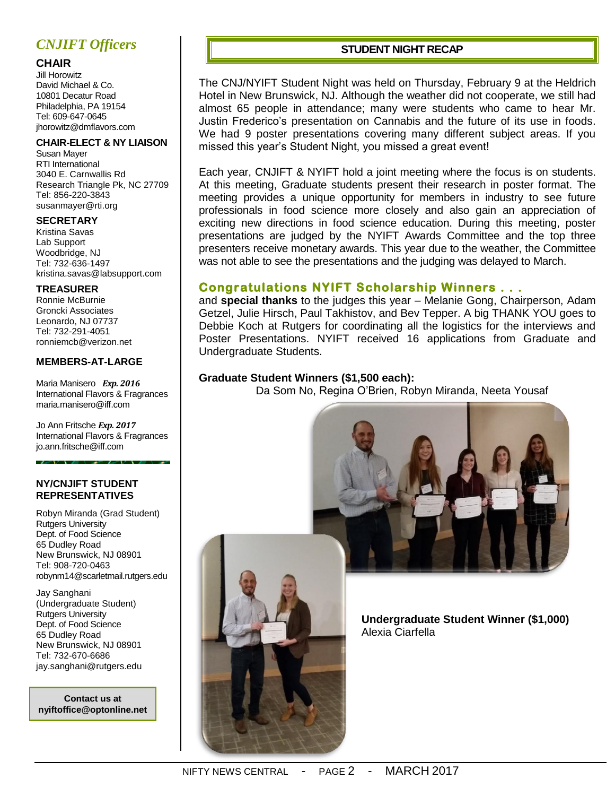### *CNJIFT Officers*

#### **CHAIR**

Jill Horowitz David Michael & Co. 10801 Decatur Road Philadelphia, PA 19154 Tel: 609-647-0645 jhorowitz@dmflavors.com

#### **CHAIR-ELECT & NY LIAISON**

Susan Mayer RTI International 3040 E. Carnwallis Rd Research Triangle Pk, NC 27709 Tel: 856-220-3843 susanmayer@rti.org

#### **SECRETARY**

Kristina Savas Lab Support Woodbridge, NJ Tel: 732-636-1497 [kristina.savas@labsupport.](mailto:kristina.savas@labsupport)com

#### **TREASURER**

Ronnie McBurnie Groncki Associates Leonardo, NJ 07737 Tel: 732-291-4051 ronniemcb@verizon.net

#### **MEMBERS-AT-LARGE**

Maria Manisero *Exp. 2016* International Flavors & Fragrances [maria.manisero@iff.com](mailto:maria.manisero@iff.com)

Jo Ann Fritsche *Exp. 2017* International Flavors & Fragrances [jo.ann.fritsche@iff.c](mailto:jo.ann.fritsche@iff)om

#### **NY/CNJIFT STUDENT REPRESENTATIVES**

Robyn Miranda (Grad Student) Rutgers University Dept. of Food Science 65 Dudley Road New Brunswick, NJ 08901 Tel: 908-720-0463 robynm14@scarletmail.rutgers.edu

Jay Sanghani (Undergraduate Student) Rutgers University Dept. of Food Science 65 Dudley Road New Brunswick, NJ 08901 Tel: 732-670-6686 [jay.sanghani@rutgers.edu](mailto:nzj1@scarletmail.rutgers.edu)

**Contact us at nyiftoffice@optonline.net**

#### **STUDENT NIGHT RECAP**

The CNJ/NYIFT Student Night was held on Thursday, February 9 at the Heldrich Hotel in New Brunswick, NJ. Although the weather did not cooperate, we still had almost 65 people in attendance; many were students who came to hear Mr. Justin Frederico's presentation on Cannabis and the future of its use in foods. We had 9 poster presentations covering many different subject areas. If you missed this year's Student Night, you missed a great event!

Each year, CNJIFT & NYIFT hold a joint meeting where the focus is on students. At this meeting, Graduate students present their research in poster format. The meeting provides a unique opportunity for members in industry to see future professionals in food science more closely and also gain an appreciation of exciting new directions in food science education. During this meeting, poster presentations are judged by the NYIFT Awards Committee and the top three presenters receive monetary awards. This year due to the weather, the Committee was not able to see the presentations and the judging was delayed to March.

#### **Congratulations NYIFT Scholarship Winners . . .**

and **special thanks** to the judges this year – Melanie Gong, Chairperson, Adam Getzel, Julie Hirsch, Paul Takhistov, and Bev Tepper. A big THANK YOU goes to Debbie Koch at Rutgers for coordinating all the logistics for the interviews and Poster Presentations. NYIFT received 16 applications from Graduate and Undergraduate Students.

#### **Graduate Student Winners (\$1,500 each):**

Da Som No, Regina O'Brien, Robyn Miranda, Neeta Yousaf





**Undergraduate Student Winner (\$1,000)** Alexia Ciarfella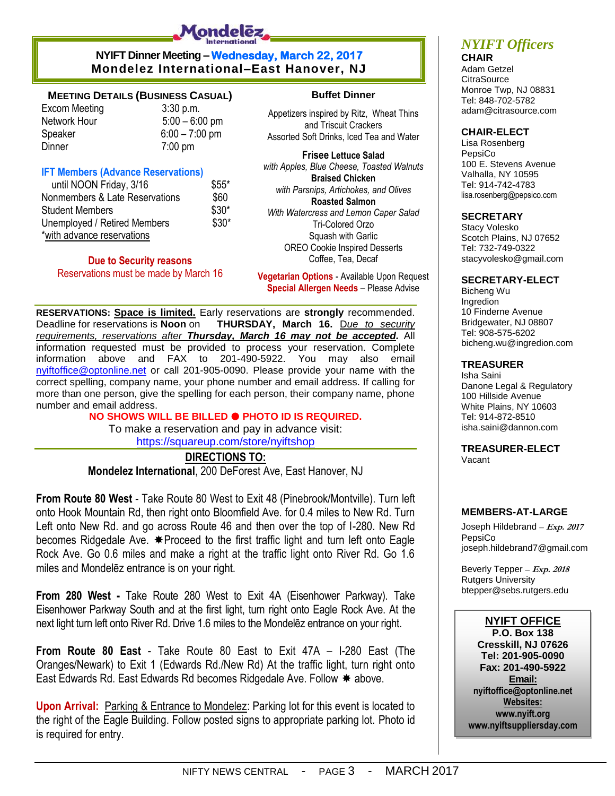

#### **NYIFT Dinner Meeting – Wednesday, March 22, 2017 Mondelez International–East Hanover, NJ**

#### **MEETING DETAILS (BUSINESS CASUAL) Buffet Dinner**

| <b>Excom Meeting</b> | 3:30 p.m.         |
|----------------------|-------------------|
| Network Hour         | $5:00 - 6:00$ pm  |
| Speaker              | $6:00 - 7:00$ pm  |
| Dinner               | $7:00 \text{ pm}$ |

#### **IFT Members (Advance Reservations)**

until NOON Friday, 3/16 \$55\* Nonmembers & Late Reservations \$60 Student Members  $$30*$ Unemployed / Retired Members \$30\* \*with advance reservations

**Due to Security reasons** Reservations must be made by March 16

I p.m. Common Meetizers inspired by Ritz, Wheat Thins and Triscuit Crackers Assorted Soft Drinks, Iced Tea and Water

> **Frisee Lettuce Salad** *with Apples, Blue Cheese, Toasted Walnuts*  **Braised Chicken** *with Parsnips, Artichokes, and Olives* **Roasted Salmon** *With Watercress and Lemon Caper Salad* Tri-Colored Orzo Squash with Garlic OREO Cookie Inspired Desserts Coffee, Tea, Decaf

**Vegetarian Options** - Available Upon Request **Special Allergen Needs** – Please Advise

**RESERVATIONS: Space is limited.** Early reservations are **strongly** recommended. Deadline for reservations is **Noon** on **THURSDAY, March 16.** D*ue to security requirements, reservations after Thursday, March 16 may not be accepted.* All information requested must be provided to process your reservation. Complete information above and FAX to 201-490-5922. You may also email [nyiftoffice@optonline.net](mailto:nyiftoffice@optonline.net) or call 201-905-0090. Please provide your name with the correct spelling, company name, your phone number and email address. If calling for more than one person, give the spelling for each person, their company name, phone number and email address.

#### **NO SHOWS WILL BE BILLED**  $\bullet$  **PHOTO ID IS REQUIRED.**

To make a reservation and pay in advance visit: <https://squareup.com/store/nyiftshop>

#### **DIRECTIONS TO:**

**Mondelez International**, 200 DeForest Ave, East Hanover, NJ

**From Route 80 West** - Take Route 80 West to Exit 48 (Pinebrook/Montville). Turn left onto Hook Mountain Rd, then right onto Bloomfield Ave. for 0.4 miles to New Rd. Turn Left onto New Rd. and go across Route 46 and then over the top of I-280. New Rd becomes Ridgedale Ave.  $*$  Proceed to the first traffic light and turn left onto Eagle Rock Ave. Go 0.6 miles and make a right at the traffic light onto River Rd. Go 1.6 miles and Mondelēz entrance is on your right.

**From 280 West -** Take Route 280 West to Exit 4A (Eisenhower Parkway). Take Eisenhower Parkway South and at the first light, turn right onto Eagle Rock Ave. At the next light turn left onto River Rd. Drive 1.6 miles to the Mondelēz entrance on your right.

**From Route 80 East** - Take Route 80 East to Exit 47A – I-280 East (The Oranges/Newark) to Exit 1 (Edwards Rd./New Rd) At the traffic light, turn right onto East Edwards Rd. East Edwards Rd becomes Ridgedale Ave. Follow  $*$  above.

**Upon Arrival:** Parking & Entrance to Mondelez: Parking lot for this event is located to the right of the Eagle Building. Follow posted signs to appropriate parking lot. Photo id is required for entry.

### *NYIFT Officers*

**CHAIR** Adam Getzel **CitraSource** Monroe Twp, NJ 08831 Tel: 848-702-5782 [adam@citrasource.com](mailto:adam@citrasource.com)

#### **CHAIR-ELECT**

Lisa Rosenberg PepsiCo 100 E. Stevens Avenue Valhalla, NY 10595 Tel: 914-742-4783 [lisa.rosenberg@pepsico.c](mailto:lisa.rosenberg@pepsico)om

#### **SECRETARY**

Stacy Volesko Scotch Plains, NJ 07652 Tel: 732-749-0322 stacyvolesko@gmail.com

#### **SECRETARY-ELECT**

Bicheng Wu Ingredion 10 Finderne Avenue Bridgewater, NJ 08807 Tel: 908-575-6202 bicheng.wu@ingredion.com

#### **TREASURER**

Isha Saini Danone Legal & Regulatory 100 Hillside Avenue White Plains, NY 10603 Tel: 914-872-8510 [isha.saini@dannon.](mailto:isha.saini@dannon)com

**TREASURER-ELECT** Vacant

#### **MEMBERS-AT-LARGE**

Joseph Hildebrand *–* **Exp. 2017** PepsiCo [joseph.hildebrand7@gmail.com](mailto:joseph.hildebrand7@gmail.com)

Beverly Tepper *–* **Exp. 2018** Rutgers University btepper@sebs.rutgers.edu

#### **NYIFT OFFICE**

**P.O. Box 138 Cresskill, NJ 07626 Tel: 201-905-0090 Fax: 201-490-5922 Email: nyiftoffice@optonline.net Websites: www.nyift.org www.nyiftsuppliersday.com**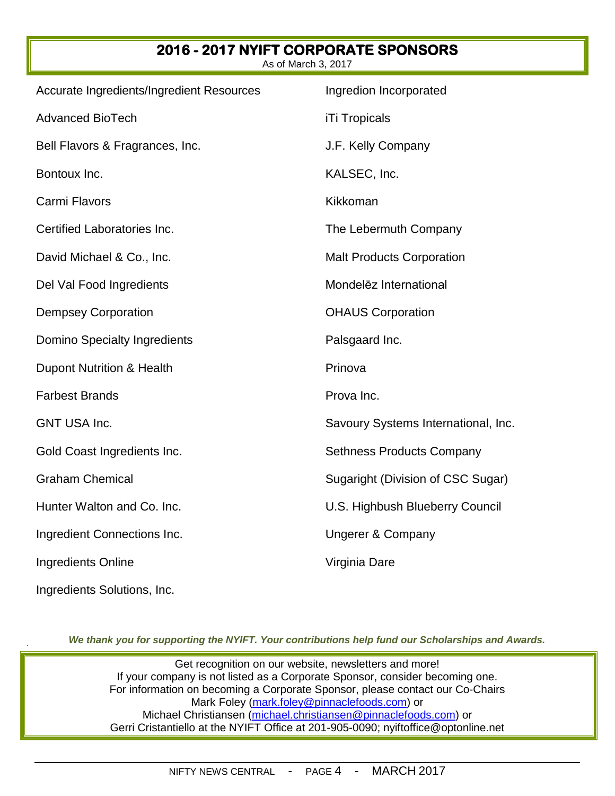## **2016 - 2017 NYIFT CORPORATE SPONSORS**

As of March 3, 2017

| Accurate Ingredients/Ingredient Resources | Ingredion Incorporated              |
|-------------------------------------------|-------------------------------------|
| <b>Advanced BioTech</b>                   | <b>iTi Tropicals</b>                |
| Bell Flavors & Fragrances, Inc.           | J.F. Kelly Company                  |
| Bontoux Inc.                              | KALSEC, Inc.                        |
| Carmi Flavors                             | Kikkoman                            |
| Certified Laboratories Inc.               | The Lebermuth Company               |
| David Michael & Co., Inc.                 | <b>Malt Products Corporation</b>    |
| Del Val Food Ingredients                  | Mondelez International              |
| <b>Dempsey Corporation</b>                | <b>OHAUS Corporation</b>            |
| Domino Specialty Ingredients              | Palsgaard Inc.                      |
| <b>Dupont Nutrition &amp; Health</b>      | Prinova                             |
| <b>Farbest Brands</b>                     | Prova Inc.                          |
| <b>GNT USA Inc.</b>                       | Savoury Systems International, Inc. |
| Gold Coast Ingredients Inc.               | <b>Sethness Products Company</b>    |
| <b>Graham Chemical</b>                    | Sugaright (Division of CSC Sugar)   |
| Hunter Walton and Co. Inc.                | U.S. Highbush Blueberry Council     |
| Ingredient Connections Inc.               | <b>Ungerer &amp; Company</b>        |
| Ingredients Online                        | Virginia Dare                       |
| Ingredients Solutions, Inc.               |                                     |

*We thank you for supporting the NYIFT. Your contributions help fund our Scholarships and Awards.*

Get recognition on our website, newsletters and more! If your company is not listed as a Corporate Sponsor, consider becoming one. For information on becoming a Corporate Sponsor, please contact our Co-Chairs Mark Foley [\(mark.foley@pinnaclefoods.com\)](mailto:mark.foley@pinnaclefoods.com) or Michael Christiansen [\(michael.christiansen@pinnaclefoods.com\)](mailto:michael.christiansen@pinnaclefoods.com) or Gerri Cristantiello at the NYIFT Office at 201-905-0090; [nyiftoffice@optonline.net](mailto:nyiftoffice@optonline.net)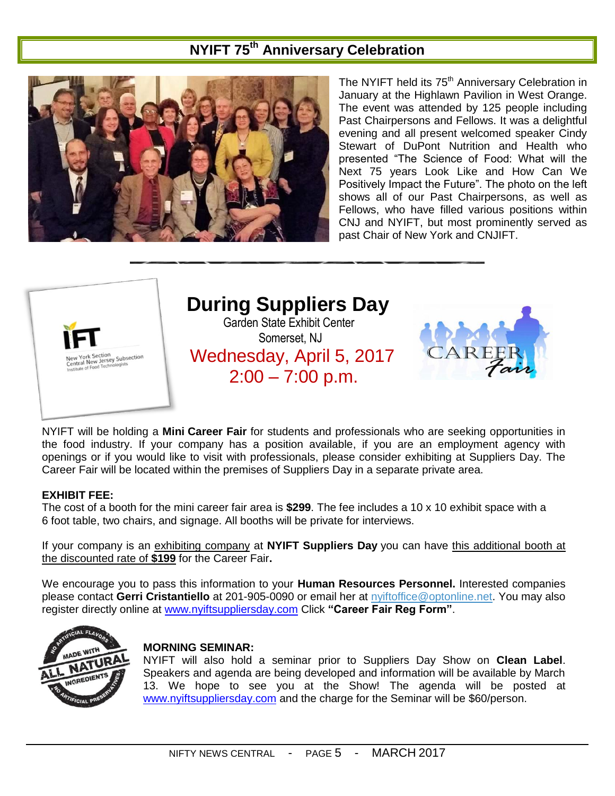### **NYIFT 75th Anniversary Celebration**



The NYIFT held its 75<sup>th</sup> Anniversary Celebration in January at the Highlawn Pavilion in West Orange. The event was attended by 125 people including Past Chairpersons and Fellows. It was a delightful evening and all present welcomed speaker Cindy Stewart of DuPont Nutrition and Health who presented "The Science of Food: What will the Next 75 years Look Like and How Can We Positively Impact the Future". The photo on the left shows all of our Past Chairpersons, as well as Fellows, who have filled various positions within CNJ and NYIFT, but most prominently served as past Chair of New York and CNJIFT.



### **During Suppliers Day** Garden State Exhibit Center Somerset, NJ Wednesday, April 5, 2017

 $2:00 - 7:00$  p.m.



[NYIFT will be holding a](http://ift.us6.list-manage.com/track/click?u=4098dc16af5e27157302a4ed8&id=4383853a43&e=24ac1ce7ec) **Mini Career Fair** for students and professionals who are seeking opportunities in the food industry. If your company has a position available, if you are an employment agency with openings or if you would like to visit with professionals, please consider exhibiting at Suppliers Day. The Career Fair will be located within the premises of Suppliers Day in a separate private area.

#### **EXHIBIT FEE:**

The cost of a booth for the mini career fair area is **\$299**. The fee includes a 10 x 10 exhibit space with a 6 foot table, two chairs, and signage. All booths will be private for interviews.

If your company is an exhibiting company at **NYIFT Suppliers Day** you can have this additional booth at the discounted rate of **\$199** for the Career Fair**.**

We encourage you to pass this information to your **Human Resources Personnel.** Interested companies please contact **Gerri Cristantiello** at 201-905-0090 or email her at [nyiftoffice@optonline.net.](mailto:nyiftoffice@optonline.net?subject=Interested%20in%20Career%20Fair&body=Please%20contact%20me%2C%20I%20would%20like%20to%20exhibit%20at%20the%20Career%20Fair%20on%20April%205%2C%202016) You may also register directly online at [www.nyiftsuppliersday.com](http://www.nyiftsuppliersday.com/) Click **"Career Fair Reg Form"**.



#### **MORNING SEMINAR:**

NYIFT will also hold a seminar prior to Suppliers Day Show on **Clean Label**. Speakers and agenda are being developed and information will be available by March 13. We hope to see you at the Show! The agenda will be posted at [www.nyiftsuppliersday.com](http://www.nyiftsuppliersday.com/) and the charge for the Seminar will be \$60/person.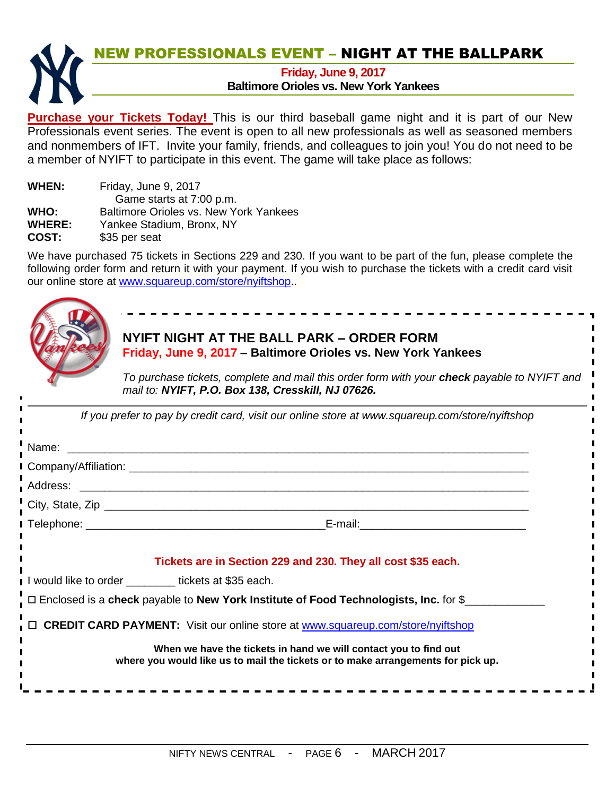

Purchase your Tickets Today! This is our third baseball game night and it is part of our New Professionals event series. The event is open to all new professionals as well as seasoned members and nonmembers of IFT. Invite your family, friends, and colleagues to join you! You do not need to be a member of NYIFT to participate in this event. The game will take place as follows:

| <b>WHEN:</b>  | Friday, June 9, 2017                   |
|---------------|----------------------------------------|
|               | Game starts at 7:00 p.m.               |
| <b>WHO:</b>   | Baltimore Orioles vs. New York Yankees |
| <b>WHERE:</b> | Yankee Stadium, Bronx, NY              |
| <b>COST:</b>  | \$35 per seat                          |

We have purchased 75 tickets in Sections 229 and 230. If you want to be part of the fun, please complete the following order form and return it with your payment. If you wish to purchase the tickets with a credit card visit our online store at [www.squareup.com/store/nyiftshop.](http://www.squareup.com/store/nyiftshop).

|                                                                                                                                                      | NYIFT NIGHT AT THE BALL PARK - ORDER FORM<br>Friday, June 9, 2017 - Baltimore Orioles vs. New York Yankees<br>To purchase tickets, complete and mail this order form with your check payable to NYIFT and<br>mail to: NYIFT, P.O. Box 138, Cresskill, NJ 07626. |  |  |  |  |
|------------------------------------------------------------------------------------------------------------------------------------------------------|-----------------------------------------------------------------------------------------------------------------------------------------------------------------------------------------------------------------------------------------------------------------|--|--|--|--|
| If you prefer to pay by credit card, visit our online store at www.squareup.com/store/nyiftshop                                                      |                                                                                                                                                                                                                                                                 |  |  |  |  |
|                                                                                                                                                      |                                                                                                                                                                                                                                                                 |  |  |  |  |
|                                                                                                                                                      |                                                                                                                                                                                                                                                                 |  |  |  |  |
|                                                                                                                                                      |                                                                                                                                                                                                                                                                 |  |  |  |  |
|                                                                                                                                                      |                                                                                                                                                                                                                                                                 |  |  |  |  |
|                                                                                                                                                      |                                                                                                                                                                                                                                                                 |  |  |  |  |
|                                                                                                                                                      | Tickets are in Section 229 and 230. They all cost \$35 each.                                                                                                                                                                                                    |  |  |  |  |
|                                                                                                                                                      | I I would like to order ________ tickets at \$35 each.                                                                                                                                                                                                          |  |  |  |  |
| $\frac{1}{2}$ $\Box$ Enclosed is a check payable to New York Institute of Food Technologists, Inc. for \$________                                    |                                                                                                                                                                                                                                                                 |  |  |  |  |
| □ CREDIT CARD PAYMENT: Visit our online store at www.squareup.com/store/nyiftshop                                                                    |                                                                                                                                                                                                                                                                 |  |  |  |  |
| When we have the tickets in hand we will contact you to find out<br>where you would like us to mail the tickets or to make arrangements for pick up. |                                                                                                                                                                                                                                                                 |  |  |  |  |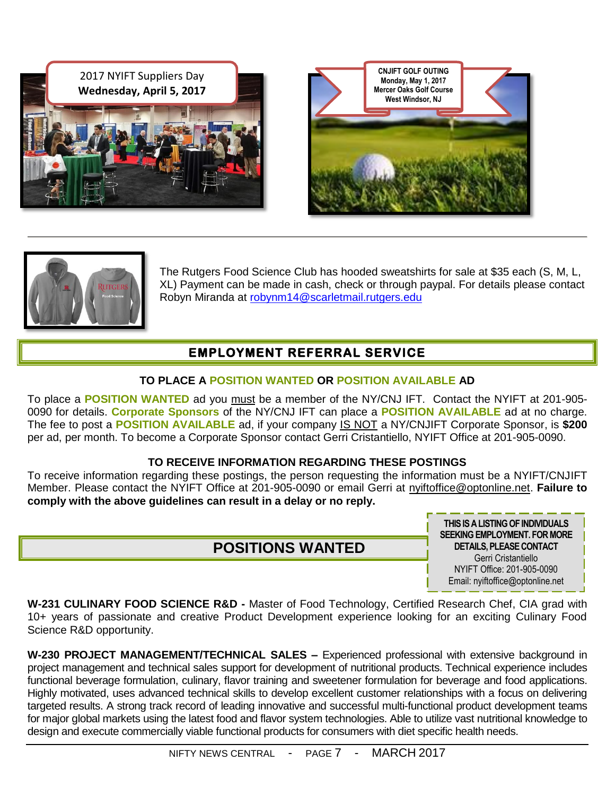





The Rutgers Food Science Club has hooded sweatshirts for sale at \$35 each (S, M, L, XL) Payment can be made in cash, check or through paypal. For details please contact Robyn Miranda at [robynm14@scarletmail.rutgers.edu](mailto:robynm14@scarletmail.rutgers.edu)

### **EMPLOYMENT REFERRAL SERVICE**

#### **TO PLACE A POSITION WANTED OR POSITION AVAILABLE AD**

To place a **POSITION WANTED** ad you must be a member of the NY/CNJ IFT. Contact the NYIFT at 201-905- 0090 for details. **Corporate Sponsors** of the NY/CNJ IFT can place a **POSITION AVAILABLE** ad at no charge. The fee to post a **POSITION AVAILABLE** ad, if your company IS NOT a NY/CNJIFT Corporate Sponsor, is **\$200** per ad, per month. To become a Corporate Sponsor contact Gerri Cristantiello, NYIFT Office at 201-905-0090.

#### **TO RECEIVE INFORMATION REGARDING THESE POSTINGS**

To receive information regarding these postings, the person requesting the information must be a NYIFT/CNJIFT Member. Please contact the NYIFT Office at 201-905-0090 or email Gerri at [nyiftoffice@optonline.net.](mailto:nyiftoffice@optonline.net) **Failure to comply with the above guidelines can result in a delay or no reply.**

### **POSITIONS WANTED**

**THIS ISA LISTING OF INDIVIDUALS SEEKING EMPLOYMENT. FOR MORE DETAILS, PLEASE CONTACT** Gerri Cristantiello NYIFT Office: 201-905-0090 Email: nyiftoffice@optonline.net

**W-231 CULINARY FOOD SCIENCE R&D -** Master of Food Technology, Certified Research Chef, CIA grad with 10+ years of passionate and creative Product Development experience looking for an exciting Culinary Food Science R&D opportunity.

**W-230 PROJECT MANAGEMENT/TECHNICAL SALES –** Experienced professional with extensive background in project management and technical sales support for development of nutritional products. Technical experience includes functional beverage formulation, culinary, flavor training and sweetener formulation for beverage and food applications. Highly motivated, uses advanced technical skills to develop excellent customer relationships with a focus on delivering targeted results. A strong track record of leading innovative and successful multi-functional product development teams for major global markets using the latest food and flavor system technologies. Able to utilize vast nutritional knowledge to design and execute commercially viable functional products for consumers with diet specific health needs.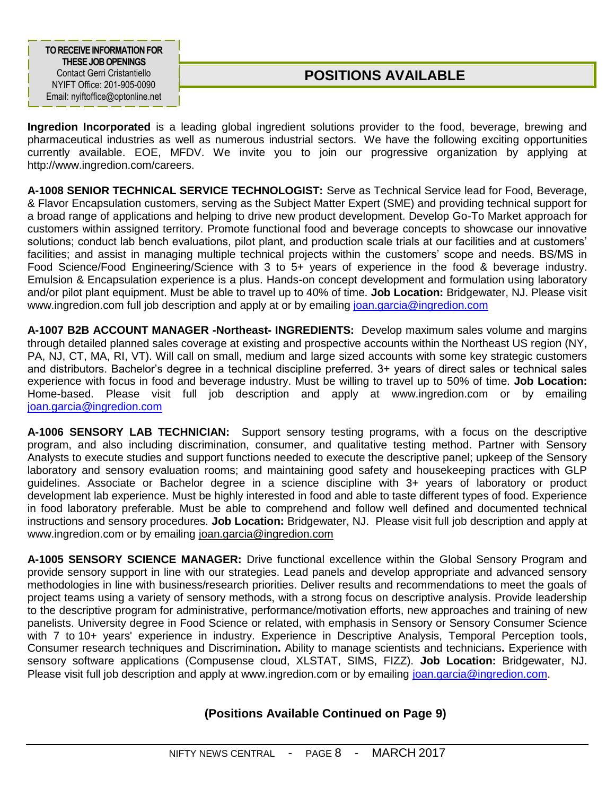**TO RECEIVE INFORMATION FOR THESE JOBOPENINGS** Contact Gerri Cristantiello NYIFT Office: 201-905-0090 Email: nyiftoffice@optonline.net

### **POSITIONS AVAILABLE**

**Ingredion Incorporated** is a leading global ingredient solutions provider to the food, beverage, brewing and pharmaceutical industries as well as numerous industrial sectors. We have the following exciting opportunities currently available. EOE, MFDV. We invite you to join our progressive organization by applying at http://www.ingredion.com/careers.

**A-1008 SENIOR TECHNICAL SERVICE TECHNOLOGIST:** Serve as Technical Service lead for Food, Beverage, & Flavor Encapsulation customers, serving as the Subject Matter Expert (SME) and providing technical support for a broad range of applications and helping to drive new product development. Develop Go-To Market approach for customers within assigned territory. Promote functional food and beverage concepts to showcase our innovative solutions; conduct lab bench evaluations, pilot plant, and production scale trials at our facilities and at customers' facilities; and assist in managing multiple technical projects within the customers' scope and needs. BS/MS in Food Science/Food Engineering/Science with 3 to 5+ years of experience in the food & beverage industry. Emulsion & Encapsulation experience is a plus. Hands-on concept development and formulation using laboratory and/or pilot plant equipment. Must be able to travel up to 40% of time. **Job Location:** Bridgewater, NJ. Please visit www.ingredion.com full job description and apply at or by emailing [joan.garcia@ingredion.com](mailto:joan.garcia@ingredion.com)

**A-1007 B2B ACCOUNT MANAGER -Northeast- INGREDIENTS:** Develop maximum sales volume and margins through detailed planned sales coverage at existing and prospective accounts within the Northeast US region (NY, PA, NJ, CT, MA, RI, VT). Will call on small, medium and large sized accounts with some key strategic customers and distributors. Bachelor's degree in a technical discipline preferred. 3+ years of direct sales or technical sales experience with focus in food and beverage industry. Must be willing to travel up to 50% of time. **Job Location:**  Home-based. Please visit full job description and apply at www.ingredion.com or by emailing [joan.garcia@ingredion.com](mailto:joan.garcia@ingredion.com)

**A-1006 SENSORY LAB TECHNICIAN:** Support sensory testing programs, with a focus on the descriptive program, and also including discrimination, consumer, and qualitative testing method. Partner with Sensory Analysts to execute studies and support functions needed to execute the descriptive panel; upkeep of the Sensory laboratory and sensory evaluation rooms; and maintaining good safety and housekeeping practices with GLP guidelines. Associate or Bachelor degree in a science discipline with 3+ years of laboratory or product development lab experience. Must be highly interested in food and able to taste different types of food. Experience in food laboratory preferable. Must be able to comprehend and follow well defined and documented technical instructions and sensory procedures. **Job Location:** Bridgewater, NJ. Please visit full job description and apply at www.ingredion.com or by emailing [joan.garcia@ingredion.com](mailto:joan.garcia@ingredion.com)

**A-1005 SENSORY SCIENCE MANAGER:** Drive functional excellence within the Global Sensory Program and provide sensory support in line with our strategies. Lead panels and develop appropriate and advanced sensory methodologies in line with business/research priorities. Deliver results and recommendations to meet the goals of project teams using a variety of sensory methods, with a strong focus on descriptive analysis. Provide leadership to the descriptive program for administrative, performance/motivation efforts, new approaches and training of new panelists. University degree in Food Science or related, with emphasis in Sensory or Sensory Consumer Science with 7 to 10+ years' experience in industry. Experience in Descriptive Analysis, Temporal Perception tools, Consumer research techniques and Discrimination**.** Ability to manage scientists and technicians**.** Experience with sensory software applications (Compusense cloud, XLSTAT, SIMS, FIZZ). **Job Location:** Bridgewater, NJ. Please visit full job description and apply at www.ingredion.com or by emailing [joan.garcia@ingredion.com.](mailto:joan.garcia@ingredion.com)

### **(Positions Available Continued on Page 9)**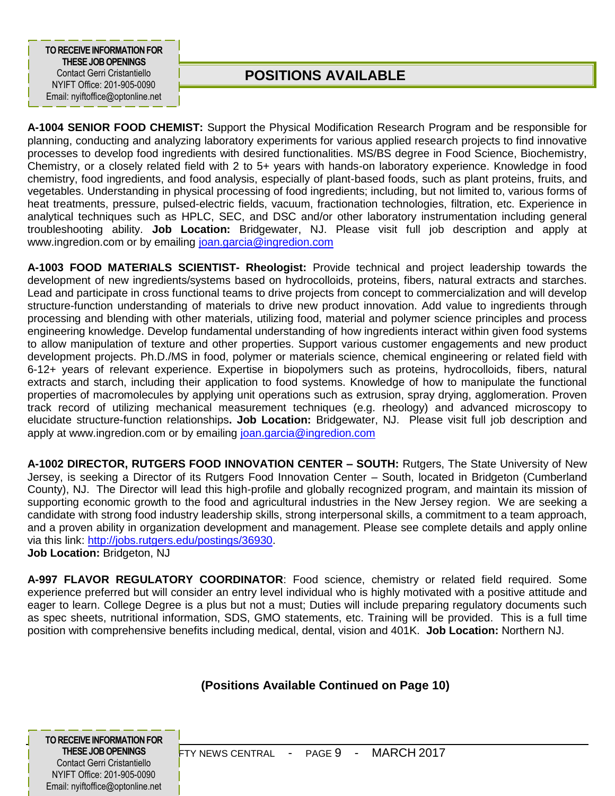**TO RECEIVE INFORMATION FOR THESE JOBOPENINGS** Contact Gerri Cristantiello NYIFT Office: 201-905-0090 Email: nyiftoffice@optonline.net

### **POSITIONS AVAILABLE**

**A-1004 SENIOR FOOD CHEMIST:** Support the Physical Modification Research Program and be responsible for planning, conducting and analyzing laboratory experiments for various applied research projects to find innovative processes to develop food ingredients with desired functionalities. MS/BS degree in Food Science, Biochemistry, Chemistry, or a closely related field with 2 to 5+ years with hands-on laboratory experience. Knowledge in food chemistry, food ingredients, and food analysis, especially of plant-based foods, such as plant proteins, fruits, and vegetables. Understanding in physical processing of food ingredients; including, but not limited to, various forms of heat treatments, pressure, pulsed-electric fields, vacuum, fractionation technologies, filtration, etc. Experience in analytical techniques such as HPLC, SEC, and DSC and/or other laboratory instrumentation including general troubleshooting ability. **Job Location:** Bridgewater, NJ. Please visit full job description and apply at www.ingredion.com or by emailing [joan.garcia@ingredion.com](mailto:joan.garcia@ingredion.com)

**A-1003 FOOD MATERIALS SCIENTIST- Rheologist:** Provide technical and project leadership towards the development of new ingredients/systems based on hydrocolloids, proteins, fibers, natural extracts and starches. Lead and participate in cross functional teams to drive projects from concept to commercialization and will develop structure-function understanding of materials to drive new product innovation. Add value to ingredients through processing and blending with other materials, utilizing food, material and polymer science principles and process engineering knowledge. Develop fundamental understanding of how ingredients interact within given food systems to allow manipulation of texture and other properties. Support various customer engagements and new product development projects. Ph.D./MS in food, polymer or materials science, chemical engineering or related field with 6-12+ years of relevant experience. Expertise in biopolymers such as proteins, hydrocolloids, fibers, natural extracts and starch, including their application to food systems. Knowledge of how to manipulate the functional properties of macromolecules by applying unit operations such as extrusion, spray drying, agglomeration. Proven track record of utilizing mechanical measurement techniques (e.g. rheology) and advanced microscopy to elucidate structure-function relationships**. Job Location:** Bridgewater, NJ. Please visit full job description and apply at www.ingredion.com or by emailing [joan.garcia@ingredion.com](mailto:joan.garcia@ingredion.com)

**A-1002 DIRECTOR, RUTGERS FOOD INNOVATION CENTER – SOUTH:** Rutgers, The State University of New Jersey, is seeking a Director of its Rutgers Food Innovation Center – South, located in Bridgeton (Cumberland County), NJ. The Director will lead this high-profile and globally recognized program, and maintain its mission of supporting economic growth to the food and agricultural industries in the New Jersey region. We are seeking a candidate with strong food industry leadership skills, strong interpersonal skills, a commitment to a team approach, and a proven ability in organization development and management. Please see complete details and apply online via this link: [http://jobs.rutgers.edu/postings/36930.](http://jobs.rutgers.edu/postings/36930)

**Job Location:** Bridgeton, NJ

**A-997 FLAVOR REGULATORY COORDINATOR**: Food science, chemistry or related field required. Some experience preferred but will consider an entry level individual who is highly motivated with a positive attitude and eager to learn. College Degree is a plus but not a must; Duties will include preparing regulatory documents such as spec sheets, nutritional information, SDS, GMO statements, etc. Training will be provided. This is a full time position with comprehensive benefits including medical, dental, vision and 401K. **Job Location:** Northern NJ.

### **(Positions Available Continued on Page 10)**

| TO RECEIVE INFORMATION FOR       |                  |  |                         |  |
|----------------------------------|------------------|--|-------------------------|--|
| <b>THESE JOB OPENINGS</b>        | FTY NEWS CENTRAL |  | - $PAGE 9 - MARCH 2017$ |  |
| Contact Gerri Cristantiello      |                  |  |                         |  |
| NYIFT Office: 201-905-0090       |                  |  |                         |  |
| Email: nyiftoffice@optonline.net |                  |  |                         |  |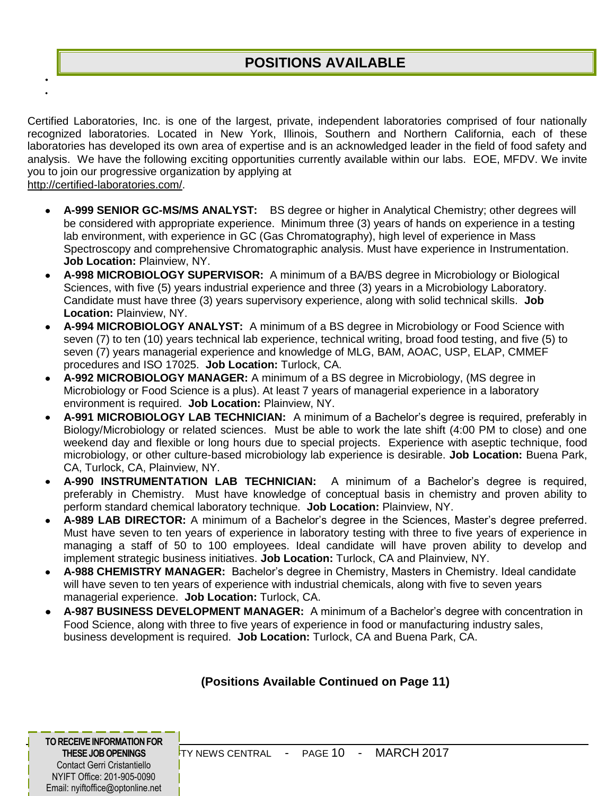### **POSITIONS AVAILABLE**

Certified Laboratories, Inc. is one of the largest, private, independent laboratories comprised of four nationally recognized laboratories. Located in New York, Illinois, Southern and Northern California, each of these laboratories has developed its own area of expertise and is an acknowledged leader in the field of food safety and analysis. We have the following exciting opportunities currently available within our labs. EOE, MFDV. We invite you to join our progressive organization by applying at [http://certified-laboratories.com/.](http://certified-laboratories.com/)

**A-999 SENIOR GC-MS/MS ANALYST:** BS degree or higher in Analytical Chemistry; other degrees will be considered with appropriate experience. Minimum three (3) years of hands on experience in a testing lab environment, with experience in GC (Gas Chromatography), high level of experience in Mass Spectroscopy and comprehensive Chromatographic analysis. Must have experience in Instrumentation.

- **Job Location:** Plainview, NY. **A-998 MICROBIOLOGY SUPERVISOR:** A minimum of a BA/BS degree in Microbiology or Biological Sciences, with five (5) years industrial experience and three (3) years in a Microbiology Laboratory. Candidate must have three (3) years supervisory experience, along with solid technical skills. **Job Location:** Plainview, NY.
- **A-994 MICROBIOLOGY ANALYST:** A minimum of a BS degree in Microbiology or Food Science with seven (7) to ten (10) years technical lab experience, technical writing, broad food testing, and five (5) to seven (7) years managerial experience and knowledge of MLG, BAM, AOAC, USP, ELAP, CMMEF procedures and ISO 17025. **Job Location:** Turlock, CA.
- **A-992 MICROBIOLOGY MANAGER:** A minimum of a BS degree in Microbiology, (MS degree in  $\bullet$ Microbiology or Food Science is a plus). At least 7 years of managerial experience in a laboratory environment is required. **Job Location:** Plainview, NY.
- **A-991 MICROBIOLOGY LAB TECHNICIAN:** A minimum of a Bachelor's degree is required, preferably in  $\bullet$ Biology/Microbiology or related sciences. Must be able to work the late shift (4:00 PM to close) and one weekend day and flexible or long hours due to special projects. Experience with aseptic technique, food microbiology, or other culture-based microbiology lab experience is desirable. **Job Location:** Buena Park, CA, Turlock, CA, Plainview, NY.
- **A-990 INSTRUMENTATION LAB TECHNICIAN:** A minimum of a Bachelor's degree is required,  $\bullet$ preferably in Chemistry. Must have knowledge of conceptual basis in chemistry and proven ability to perform standard chemical laboratory technique. **Job Location:** Plainview, NY.
- **A-989 LAB DIRECTOR:** A minimum of a Bachelor's degree in the Sciences, Master's degree preferred.  $\bullet$ Must have seven to ten years of experience in laboratory testing with three to five years of experience in managing a staff of 50 to 100 employees. Ideal candidate will have proven ability to develop and implement strategic business initiatives. **Job Location:** Turlock, CA and Plainview, NY.
- **A-988 CHEMISTRY MANAGER:** Bachelor's degree in Chemistry, Masters in Chemistry. Ideal candidate  $\bullet$ will have seven to ten years of experience with industrial chemicals, along with five to seven years managerial experience. **Job Location:** Turlock, CA.
- **A-987 BUSINESS DEVELOPMENT MANAGER:** A minimum of a Bachelor's degree with concentration in  $\bullet$ Food Science, along with three to five years of experience in food or manufacturing industry sales, business development is required. **Job Location:** Turlock, CA and Buena Park, CA.

### **(Positions Available Continued on Page 11)**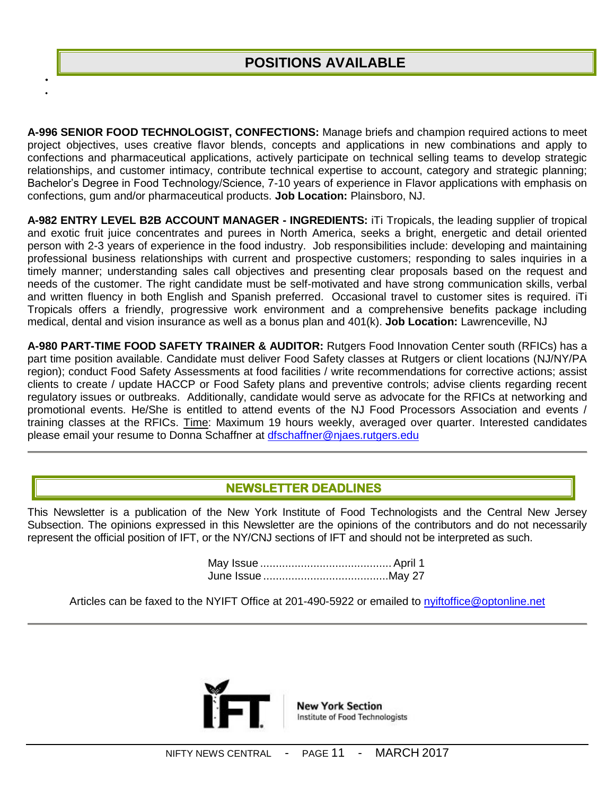**A-996 SENIOR FOOD TECHNOLOGIST, CONFECTIONS:** Manage briefs and champion required actions to meet project objectives, uses creative flavor blends, concepts and applications in new combinations and apply to confections and pharmaceutical applications, actively participate on technical selling teams to develop strategic relationships, and customer intimacy, contribute technical expertise to account, category and strategic planning; Bachelor's Degree in Food Technology/Science, 7-10 years of experience in Flavor applications with emphasis on confections, gum and/or pharmaceutical products. **Job Location:** Plainsboro, NJ.

**A-982 ENTRY LEVEL B2B ACCOUNT MANAGER - INGREDIENTS:** iTi Tropicals, the leading supplier of tropical and exotic fruit juice concentrates and purees in North America, seeks a bright, energetic and detail oriented person with 2-3 years of experience in the food industry. Job responsibilities include: developing and maintaining professional business relationships with current and prospective customers; responding to sales inquiries in a timely manner; understanding sales call objectives and presenting clear proposals based on the request and meeds of the customer. The right candidate must be self-motivated and have strong communication skills, verbal and written fluency in both English and Spanish preferred. Occasional travel to customer sites is required. iTi Tropicals offers a friendly, progressive work environment and a comprehensive benefits package including medical, dental and vision insurance as well as a bonus plan and 401(k). **Job Location:** Lawrenceville, NJ

**A-980 PART-TIME FOOD SAFETY TRAINER & AUDITOR:** Rutgers Food Innovation Center south (RFICs) has a part time position available. Candidate must deliver Food Safety classes at Rutgers or client locations (NJ/NY/PA region); conduct Food Safety Assessments at food facilities / write recommendations for corrective actions; assist clients to create / update HACCP or Food Safety plans and preventive controls; advise clients regarding recent regulatory issues or outbreaks. Additionally, candidate would serve as advocate for the RFICs at networking and promotional events. He/She is entitled to attend events of the NJ Food Processors Association and events / training classes at the RFICs. Time: Maximum 19 hours weekly, averaged over quarter. Interested candidates please email your resume to Donna Schaffner at [dfschaffner@njaes.rutgers.edu](mailto:dfschaffner@njaes.rutgers.edu)

### **NEWSLETTER DEADLINES**

This Newsletter is a publication of the New York Institute of Food Technologists and the Central New Jersey Subsection. The opinions expressed in this Newsletter are the opinions of the contributors and do not necessarily represent the official position of IFT, or the NY/CNJ sections of IFT and should not be interpreted as such.

> May Issue .......................................... April 1 June Issue ........................................May 27

Articles can be faxed to the NYIFT Office at 201-490-5922 or emailed to [nyiftoffice@optonline.net](mailto:nyiftoffice@optonline.net)



**New York Section** Institute of Food Technologists